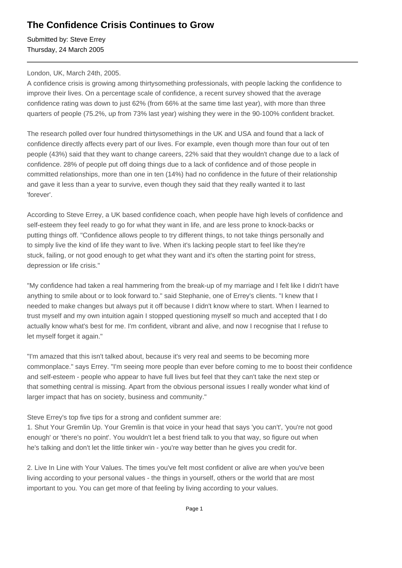## **The Confidence Crisis Continues to Grow**

Submitted by: Steve Errey Thursday, 24 March 2005

## London, UK, March 24th, 2005.

A confidence crisis is growing among thirtysomething professionals, with people lacking the confidence to improve their lives. On a percentage scale of confidence, a recent survey showed that the average confidence rating was down to just 62% (from 66% at the same time last year), with more than three quarters of people (75.2%, up from 73% last year) wishing they were in the 90-100% confident bracket.

The research polled over four hundred thirtysomethings in the UK and USA and found that a lack of confidence directly affects every part of our lives. For example, even though more than four out of ten people (43%) said that they want to change careers, 22% said that they wouldn't change due to a lack of confidence. 28% of people put off doing things due to a lack of confidence and of those people in committed relationships, more than one in ten (14%) had no confidence in the future of their relationship and gave it less than a year to survive, even though they said that they really wanted it to last 'forever'.

According to Steve Errey, a UK based confidence coach, when people have high levels of confidence and self-esteem they feel ready to go for what they want in life, and are less prone to knock-backs or putting things off. "Confidence allows people to try different things, to not take things personally and to simply live the kind of life they want to live. When it's lacking people start to feel like they're stuck, failing, or not good enough to get what they want and it's often the starting point for stress, depression or life crisis."

"My confidence had taken a real hammering from the break-up of my marriage and I felt like I didn't have anything to smile about or to look forward to." said Stephanie, one of Errey's clients. "I knew that I needed to make changes but always put it off because I didn't know where to start. When I learned to trust myself and my own intuition again I stopped questioning myself so much and accepted that I do actually know what's best for me. I'm confident, vibrant and alive, and now I recognise that I refuse to let myself forget it again."

"I'm amazed that this isn't talked about, because it's very real and seems to be becoming more commonplace." says Errey. "I'm seeing more people than ever before coming to me to boost their confidence and self-esteem - people who appear to have full lives but feel that they can't take the next step or that something central is missing. Apart from the obvious personal issues I really wonder what kind of larger impact that has on society, business and community."

Steve Errey's top five tips for a strong and confident summer are:

1. Shut Your Gremlin Up. Your Gremlin is that voice in your head that says 'you can't', 'you're not good enough' or 'there's no point'. You wouldn't let a best friend talk to you that way, so figure out when he's talking and don't let the little tinker win - you're way better than he gives you credit for.

2. Live In Line with Your Values. The times you've felt most confident or alive are when you've been living according to your personal values - the things in yourself, others or the world that are most important to you. You can get more of that feeling by living according to your values.